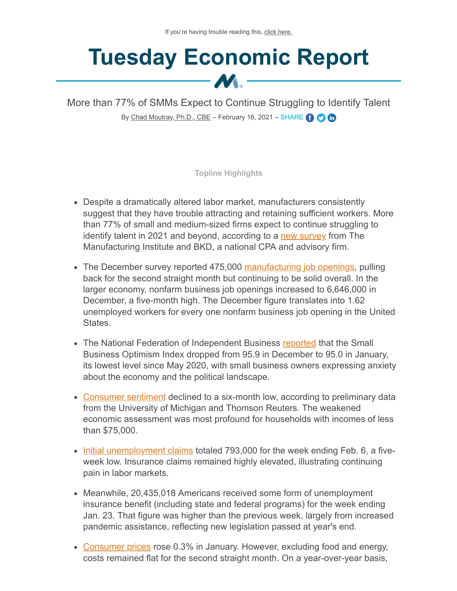## **Tuesday Economic Report**  $\bm{M}$  -

More than 77% of SMMs Expect to Continue Struggling to Identify Talent By [Chad Moutray, Ph.D., CBE](mailto:cmoutray@nam.org) - February 16, 2021 - SHARE CO C

**Topline Highlights**

- Despite a dramatically altered labor market, manufacturers consistently suggest that they have trouble attracting and retaining sufficient workers. More than 77% of small and medium-sized firms expect to continue struggling to identify talent in 2021 and beyond, according to a [new survey](https://www.themanufacturinginstitute.org/research/the-manufacturing-institute-bkd-small-and-medium-sized-manufacturers-survey/) from The Manufacturing Institute and BKD, a national CPA and advisory firm.
- The December survey reported 475,000 [manufacturing job openings](https://www.bls.gov/news.release/pdf/jolts.pdf), pulling back for the second straight month but continuing to be solid overall. In the larger economy, nonfarm business job openings increased to 6,646,000 in December, a five-month high. The December figure translates into 1.62 unemployed workers for every one nonfarm business job opening in the United States.
- The National Federation of Independent Business [reported](https://assets.nfib.com/nfibcom/SBET-Jan-2021.pdf) that the Small Business Optimism Index dropped from 95.9 in December to 95.0 in January, its lowest level since May 2020, with small business owners expressing anxiety about the economy and the political landscape.
- [Consumer sentiment](http://www.sca.isr.umich.edu/) declined to a six-month low, according to preliminary data from the University of Michigan and Thomson Reuters. The weakened economic assessment was most profound for households with incomes of less than \$75,000.
- [Initial unemployment claims](https://www.dol.gov/ui/data.pdf) totaled 793,000 for the week ending Feb. 6, a fiveweek low. Insurance claims remained highly elevated, illustrating continuing pain in labor markets.
- Meanwhile, 20,435,018 Americans received some form of unemployment insurance benefit (including state and federal programs) for the week ending Jan. 23. That figure was higher than the previous week, largely from increased pandemic assistance, reflecting new legislation passed at year's end.
- [Consumer prices](https://www.bls.gov/news.release/pdf/cpi.pdf) rose 0.3% in January. However, excluding food and energy, costs remained flat for the second straight month. On a year-over-year basis,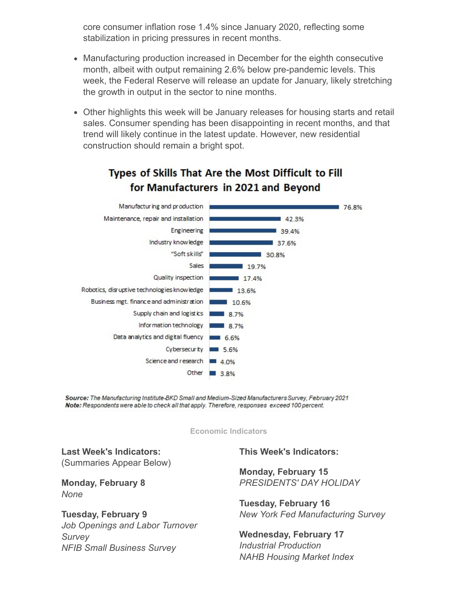core consumer inflation rose 1.4% since January 2020, reflecting some stabilization in pricing pressures in recent months.

- Manufacturing production increased in December for the eighth consecutive month, albeit with output remaining 2.6% below pre-pandemic levels. This week, the Federal Reserve will release an update for January, likely stretching the growth in output in the sector to nine months.
- Other highlights this week will be January releases for housing starts and retail sales. Consumer spending has been disappointing in recent months, and that trend will likely continue in the latest update. However, new residential construction should remain a bright spot.



## Types of Skills That Are the Most Difficult to Fill for Manufacturers in 2021 and Beyond

Source: The Manufacturing Institute-BKD Small and Medium-Sized Manufacturers Survey, February 2021 Note: Respondents were able to check all that apply. Therefore, responses exceed 100 percent.

**Economic Indicators**

**Last Week's Indicators:** (Summaries Appear Below)

**Monday, February 8** *None*

**Tuesday, February 9** *Job Openings and Labor Turnover Survey NFIB Small Business Survey*

**This Week's Indicators:**

**Monday, February 15** *PRESIDENTS' DAY HOLIDAY*

**Tuesday, February 16** *New York Fed Manufacturing Survey*

**Wednesday, February 17** *Industrial Production NAHB Housing Market Index*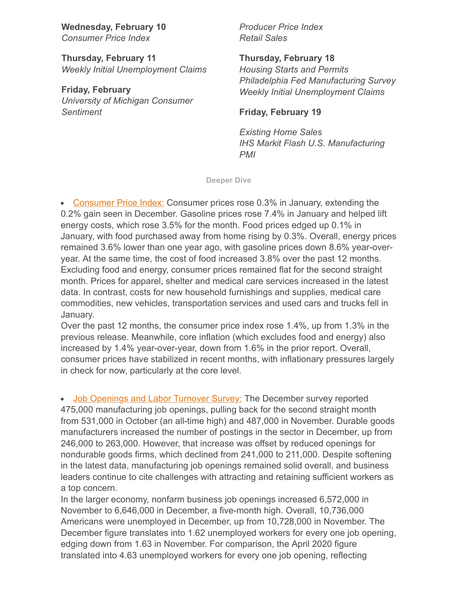**Wednesday, February 10** *Consumer Price Index*

**Thursday, February 11** *Weekly Initial Unemployment Claims*

**Friday, February**  *University of Michigan Consumer Sentiment*

*Producer Price Index Retail Sales*

**Thursday, February 18**

*Housing Starts and Permits Philadelphia Fed Manufacturing Survey Weekly Initial Unemployment Claims*

## **Friday, February 19**

*Existing Home Sales IHS Markit Flash U.S. Manufacturing PMI*

**Deeper Dive**

• [Consumer Price Index:](https://www.bls.gov/news.release/pdf/cpi.pdf) Consumer prices rose 0.3% in January, extending the 0.2% gain seen in December. Gasoline prices rose 7.4% in January and helped lift energy costs, which rose 3.5% for the month. Food prices edged up 0.1% in January, with food purchased away from home rising by 0.3%. Overall, energy prices remained 3.6% lower than one year ago, with gasoline prices down 8.6% year-overyear. At the same time, the cost of food increased 3.8% over the past 12 months. Excluding food and energy, consumer prices remained flat for the second straight month. Prices for apparel, shelter and medical care services increased in the latest data. In contrast, costs for new household furnishings and supplies, medical care commodities, new vehicles, transportation services and used cars and trucks fell in January.

Over the past 12 months, the consumer price index rose 1.4%, up from 1.3% in the previous release. Meanwhile, core inflation (which excludes food and energy) also increased by 1.4% year-over-year, down from 1.6% in the prior report. Overall, consumer prices have stabilized in recent months, with inflationary pressures largely in check for now, particularly at the core level.

• [Job Openings and Labor Turnover Survey:](https://www.bls.gov/news.release/pdf/jolts.pdf) The December survey reported 475,000 manufacturing job openings, pulling back for the second straight month from 531,000 in October (an all-time high) and 487,000 in November. Durable goods manufacturers increased the number of postings in the sector in December, up from 246,000 to 263,000. However, that increase was offset by reduced openings for nondurable goods firms, which declined from 241,000 to 211,000. Despite softening in the latest data, manufacturing job openings remained solid overall, and business leaders continue to cite challenges with attracting and retaining sufficient workers as a top concern.

In the larger economy, nonfarm business job openings increased 6,572,000 in November to 6,646,000 in December, a five-month high. Overall, 10,736,000 Americans were unemployed in December, up from 10,728,000 in November. The December figure translates into 1.62 unemployed workers for every one job opening, edging down from 1.63 in November. For comparison, the April 2020 figure translated into 4.63 unemployed workers for every one job opening, reflecting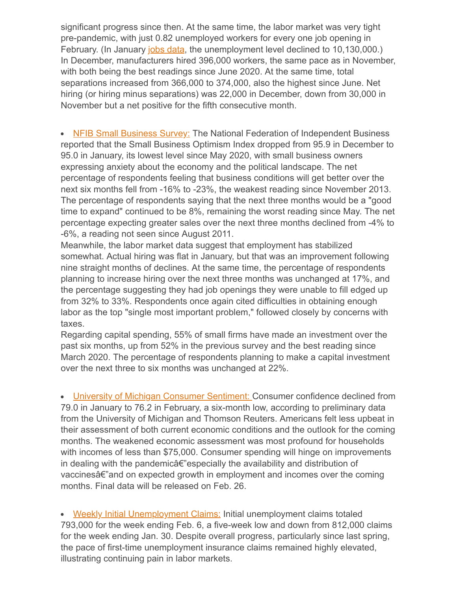significant progress since then. At the same time, the labor market was very tight pre-pandemic, with just 0.82 unemployed workers for every one job opening in February. (In January [jobs data](https://www.bls.gov/news.release/pdf/empsit.pdf), the unemployment level declined to 10,130,000.) In December, manufacturers hired 396,000 workers, the same pace as in November, with both being the best readings since June 2020. At the same time, total separations increased from 366,000 to 374,000, also the highest since June. Net hiring (or hiring minus separations) was 22,000 in December, down from 30,000 in November but a net positive for the fifth consecutive month.

• [NFIB Small Business Survey:](https://assets.nfib.com/nfibcom/SBET-Jan-2021.pdf) The National Federation of Independent Business reported that the Small Business Optimism Index dropped from 95.9 in December to 95.0 in January, its lowest level since May 2020, with small business owners expressing anxiety about the economy and the political landscape. The net percentage of respondents feeling that business conditions will get better over the next six months fell from -16% to -23%, the weakest reading since November 2013. The percentage of respondents saying that the next three months would be a "good time to expand" continued to be 8%, remaining the worst reading since May. The net percentage expecting greater sales over the next three months declined from -4% to -6%, a reading not seen since August 2011.

Meanwhile, the labor market data suggest that employment has stabilized somewhat. Actual hiring was flat in January, but that was an improvement following nine straight months of declines. At the same time, the percentage of respondents planning to increase hiring over the next three months was unchanged at 17%, and the percentage suggesting they had job openings they were unable to fill edged up from 32% to 33%. Respondents once again cited difficulties in obtaining enough labor as the top "single most important problem," followed closely by concerns with taxes.

Regarding capital spending, 55% of small firms have made an investment over the past six months, up from 52% in the previous survey and the best reading since March 2020. The percentage of respondents planning to make a capital investment over the next three to six months was unchanged at 22%.

• **University of Michigan Consumer Sentiment:** Consumer confidence declined from 79.0 in January to 76.2 in February, a six-month low, according to preliminary data from the University of Michigan and Thomson Reuters. Americans felt less upbeat in their assessment of both current economic conditions and the outlook for the coming months. The weakened economic assessment was most profound for households with incomes of less than \$75,000. Consumer spending will hinge on improvements in dealing with the pandemicâ€"especially the availability and distribution of vaccinesâ€"and on expected growth in employment and incomes over the coming months. Final data will be released on Feb. 26.

• [Weekly Initial Unemployment Claims:](http://images.nam.org/EMAIL/Newsletters/Monday_Econ_Report/2021/2021-0216EconMembers.html?utm_source=sfmc&utm_medium=email&utm_campaign=Tuesday+Economic+Report_Feb+16th+2021_Members&utm_term=http%3a%2f%2fimages.nam.org%2fEMAIL%2fNewsletters%2fMonday_Econ_Report%2f2021%2f2021-0216EconMembers.html&utm_id=80335&sfmc_id=29008607) Initial unemployment claims totaled 793,000 for the week ending Feb. 6, a five-week low and down from 812,000 claims for the week ending Jan. 30. Despite overall progress, particularly since last spring, the pace of first-time unemployment insurance claims remained highly elevated, illustrating continuing pain in labor markets.